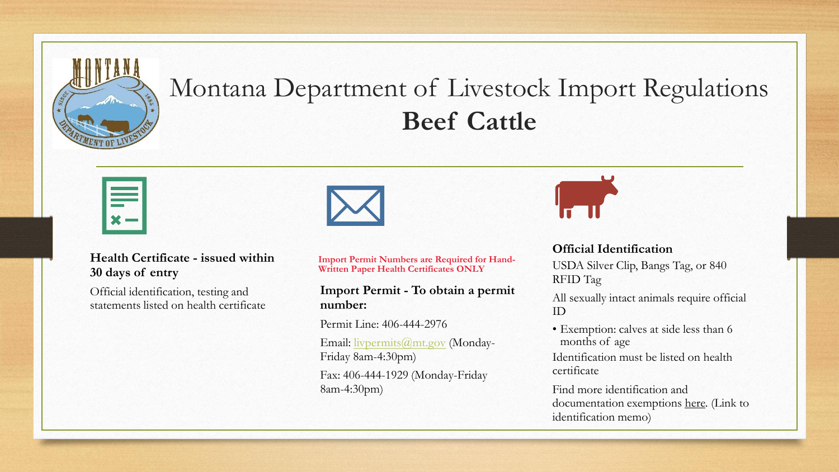

## Montana Department of Livestock Import Regulations **Beef Cattle**



#### **Health Certificate - issued within 30 days of entry**

Official identification, testing and statements listed on health certificate **Import Permit Numbers are Required for Hand-Written Paper Health Certificates ONLY**

#### **Import Permit - To obtain a permit number:**

Permit Line: 406-444-2976 Email: [livpermits@mt.gov](mailto:livpermits@mt.gov) (Monday-Friday 8am-4:30pm)

Fax: 406-444-1929 (Monday-Friday 8am-4:30pm)



#### **Official Identification**

USDA Silver Clip, Bangs Tag, or 840 RFID Tag

All sexually intact animals require official ID

• Exemption: calves at side less than 6 months of age

Identification must be listed on health certificate

Find more identification and documentation exemptions here. (Link to identification memo)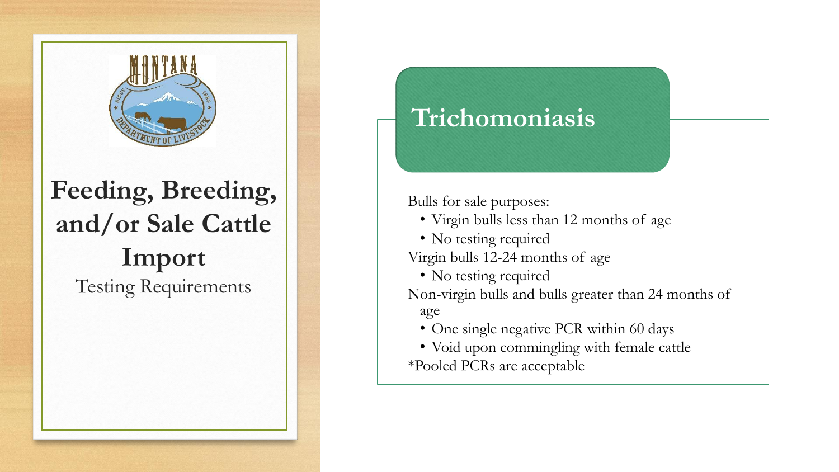

# **Feeding, Breeding, and/or Sale Cattle Import** Testing Requirements

### **Trichomoniasis**

Bulls for sale purposes:

- Virgin bulls less than 12 months of age
- No testing required

Virgin bulls 12-24 months of age

• No testing required

Non-virgin bulls and bulls greater than 24 months of age

- One single negative PCR within 60 days
- Void upon commingling with female cattle \*Pooled PCRs are acceptable